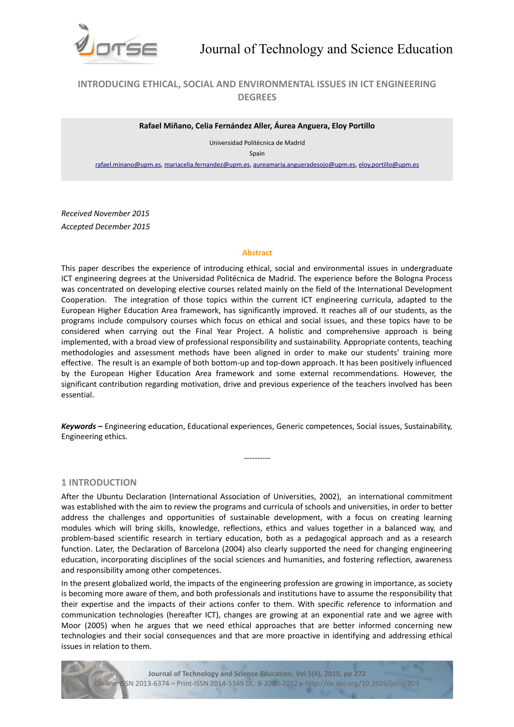

Journal of Technology and Science Education

# **INTRODUCING ETHICAL, SOCIAL AND ENVIRONMENTAL ISSUES IN ICT ENGINEERING DEGREES**

**Rafael Miñano, Celia Fernández Aller, Áurea Anguera, Eloy Portillo**

Universidad Politécnica de Madrid Spain

[rafael.minano@upm.es,](mailto:rafael.minano@upm.es) [mariacelia.fernandez@upm.es,](mailto:mariacelia.fernandez@upm.es) [aureamaria.angueradesojo@upm.es,](mailto:aureamaria.angueradesojo@upm.es) [eloy.portillo@upm.es](mailto:eloy.portillo@upm.es)

*Received November 2015 Accepted December 2015*

#### **Abstract**

This paper describes the experience of introducing ethical, social and environmental issues in undergraduate ICT engineering degrees at the Universidad Politécnica de Madrid. The experience before the Bologna Process was concentrated on developing elective courses related mainly on the field of the International Development Cooperation. The integration of those topics within the current ICT engineering curricula, adapted to the European Higher Education Area framework, has significantly improved. It reaches all of our students, as the programs include compulsory courses which focus on ethical and social issues, and these topics have to be considered when carrying out the Final Year Project. A holistic and comprehensive approach is being implemented, with a broad view of professional responsibility and sustainability. Appropriate contents, teaching methodologies and assessment methods have been aligned in order to make our students' training more effective. The result is an example of both bottom-up and top-down approach. It has been positively influenced by the European Higher Education Area framework and some external recommendations. However, the significant contribution regarding motivation, drive and previous experience of the teachers involved has been essential.

*Keywords –* Engineering education, Educational experiences, Generic competences, Social issues, Sustainability, Engineering ethics.

----------

### **1 INTRODUCTION**

After the Ubuntu Declaration (International Association of Universities, 2002), an international commitment was established with the aim to review the programs and curricula of schools and universities, in order to better address the challenges and opportunities of sustainable development, with a focus on creating learning modules which will bring skills, knowledge, reflections, ethics and values together in a balanced way, and problem-based scientific research in tertiary education, both as a pedagogical approach and as a research function. Later, the Declaration of Barcelona (2004) also clearly supported the need for changing engineering education, incorporating disciplines of the social sciences and humanities, and fostering reflection, awareness and responsibility among other competences.

In the present globalized world, the impacts of the engineering profession are growing in importance, as society is becoming more aware of them, and both professionals and institutions have to assume the responsibility that their expertise and the impacts of their actions confer to them. With specific reference to information and communication technologies (hereafter ICT), changes are growing at an exponential rate and we agree with Moor (2005) when he argues that we need ethical approaches that are better informed concerning new technologies and their social consequences and that are more proactive in identifying and addressing ethical issues in relation to them.



**Journal of Technology and Science Education. Vol 5(4), 2015, pp 272** On-line ISSN 2013-6374 – Print-ISSN 2014-5349 DL: B-2000-2012 – http://dx.doi.org/10.3926/jotse.203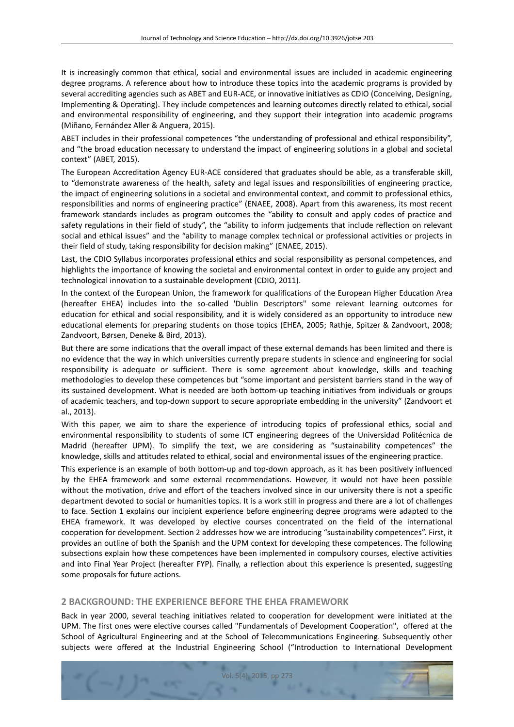It is increasingly common that ethical, social and environmental issues are included in academic engineering degree programs. A reference about how to introduce these topics into the academic programs is provided by several accrediting agencies such as ABET and EUR-ACE, or innovative initiatives as CDIO (Conceiving, Designing, Implementing & Operating). They include competences and learning outcomes directly related to ethical, social and environmental responsibility of engineering, and they support their integration into academic programs (Miñano, Fernández Aller & Anguera, 2015).

ABET includes in their professional competences "the understanding of professional and ethical responsibility", and "the broad education necessary to understand the impact of engineering solutions in a global and societal context" (ABET, 2015).

The European Accreditation Agency EUR-ACE considered that graduates should be able, as a transferable skill, to "demonstrate awareness of the health, safety and legal issues and responsibilities of engineering practice, the impact of engineering solutions in a societal and environmental context, and commit to professional ethics, responsibilities and norms of engineering practice" (ENAEE, 2008). Apart from this awareness, its most recent framework standards includes as program outcomes the "ability to consult and apply codes of practice and safety regulations in their field of study", the "ability to inform judgements that include reflection on relevant social and ethical issues" and the "ability to manage complex technical or professional activities or projects in their field of study, taking responsibility for decision making" (ENAEE, 2015).

Last, the CDIO Syllabus incorporates professional ethics and social responsibility as personal competences, and highlights the importance of knowing the societal and environmental context in order to guide any project and technological innovation to a sustainable development (CDIO, 2011).

In the context of the European Union, the framework for qualifications of the European Higher Education Area (hereafter EHEA) includes into the so-called 'Dublin Descriptors'' some relevant learning outcomes for education for ethical and social responsibility, and it is widely considered as an opportunity to introduce new educational elements for preparing students on those topics (EHEA, 2005; Rathje, Spitzer & Zandvoort, 2008; Zandvoort, Børsen, Deneke & Bird, 2013).

But there are some indications that the overall impact of these external demands has been limited and there is no evidence that the way in which universities currently prepare students in science and engineering for social responsibility is adequate or sufficient. There is some agreement about knowledge, skills and teaching methodologies to develop these competences but "some important and persistent barriers stand in the way of its sustained development. What is needed are both bottom-up teaching initiatives from individuals or groups of academic teachers, and top-down support to secure appropriate embedding in the university" (Zandvoort et al., 2013).

With this paper, we aim to share the experience of introducing topics of professional ethics, social and environmental responsibility to students of some ICT engineering degrees of the Universidad Politécnica de Madrid (hereafter UPM). To simplify the text, we are considering as "sustainability competences" the knowledge, skills and attitudes related to ethical, social and environmental issues of the engineering practice.

This experience is an example of both bottom-up and top-down approach, as it has been positively influenced by the EHEA framework and some external recommendations. However, it would not have been possible without the motivation, drive and effort of the teachers involved since in our university there is not a specific department devoted to social or humanities topics. It is a work still in progress and there are a lot of challenges to face. Section 1 explains our incipient experience before engineering degree programs were adapted to the EHEA framework. It was developed by elective courses concentrated on the field of the international cooperation for development. Section 2 addresses how we are introducing "sustainability competences". First, it provides an outline of both the Spanish and the UPM context for developing these competences. The following subsections explain how these competences have been implemented in compulsory courses, elective activities and into Final Year Project (hereafter FYP). Finally, a reflection about this experience is presented, suggesting some proposals for future actions.

### **2 BACKGROUND: THE EXPERIENCE BEFORE THE EHEA FRAMEWORK**

Back in year 2000, several teaching initiatives related to cooperation for development were initiated at the UPM. The first ones were elective courses called "Fundamentals of Development Cooperation", offered at the School of Agricultural Engineering and at the School of Telecommunications Engineering. Subsequently other subjects were offered at the Industrial Engineering School ("Introduction to International Development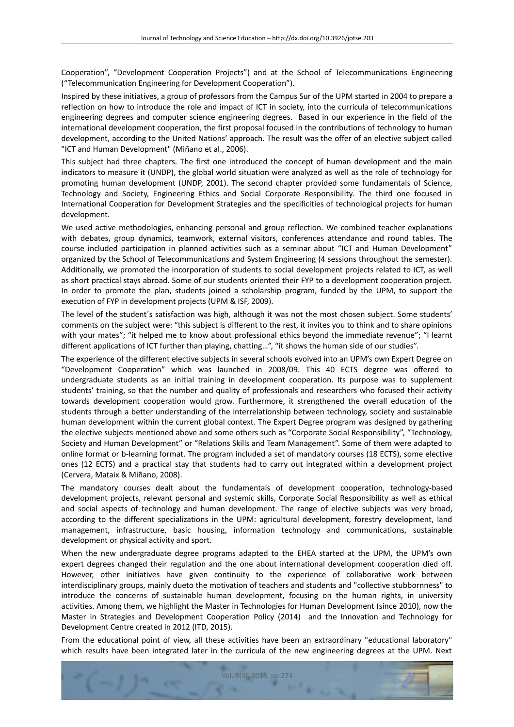Cooperation", "Development Cooperation Projects") and at the School of Telecommunications Engineering ("Telecommunication Engineering for Development Cooperation").

Inspired by these initiatives, a group of professors from the Campus Sur of the UPM started in 2004 to prepare a reflection on how to introduce the role and impact of ICT in society, into the curricula of telecommunications engineering degrees and computer science engineering degrees. Based in our experience in the field of the international development cooperation, the first proposal focused in the contributions of technology to human development, according to the United Nations' approach. The result was the offer of an elective subject called "ICT and Human Development" (Miñano et al., 2006).

This subject had three chapters. The first one introduced the concept of human development and the main indicators to measure it (UNDP), the global world situation were analyzed as well as the role of technology for promoting human development (UNDP, 2001). The second chapter provided some fundamentals of Science, Technology and Society, Engineering Ethics and Social Corporate Responsibility. The third one focused in International Cooperation for Development Strategies and the specificities of technological projects for human development.

We used active methodologies, enhancing personal and group reflection. We combined teacher explanations with debates, group dynamics, teamwork, external visitors, conferences attendance and round tables. The course included participation in planned activities such as a seminar about "ICT and Human Development" organized by the School of Telecommunications and System Engineering (4 sessions throughout the semester). Additionally, we promoted the incorporation of students to social development projects related to ICT, as well as short practical stays abroad. Some of our students oriented their FYP to a development cooperation project. In order to promote the plan, students joined a scholarship program, funded by the UPM, to support the execution of FYP in development projects (UPM & ISF, 2009).

The level of the student´s satisfaction was high, although it was not the most chosen subject. Some students' comments on the subject were: "this subject is different to the rest, it invites you to think and to share opinions with your mates"; "it helped me to know about professional ethics beyond the immediate revenue"; "I learnt different applications of ICT further than playing, chatting…", "it shows the human side of our studies".

The experience of the different elective subjects in several schools evolved into an UPM's own Expert Degree on "Development Cooperation" which was launched in 2008/09. This 40 ECTS degree was offered to undergraduate students as an initial training in development cooperation. Its purpose was to supplement students' training, so that the number and quality of professionals and researchers who focused their activity towards development cooperation would grow. Furthermore, it strengthened the overall education of the students through a better understanding of the interrelationship between technology, society and sustainable human development within the current global context. The Expert Degree program was designed by gathering the elective subjects mentioned above and some others such as "Corporate Social Responsibility", "Technology, Society and Human Development" or "Relations Skills and Team Management". Some of them were adapted to online format or b-learning format. The program included a set of mandatory courses (18 ECTS), some elective ones (12 ECTS) and a practical stay that students had to carry out integrated within a development project (Cervera, Mataix & Miñano, 2008).

The mandatory courses dealt about the fundamentals of development cooperation, technology-based development projects, relevant personal and systemic skills, Corporate Social Responsibility as well as ethical and social aspects of technology and human development. The range of elective subjects was very broad, according to the different specializations in the UPM: agricultural development, forestry development, land management, infrastructure, basic housing, information technology and communications, sustainable development or physical activity and sport.

When the new undergraduate degree programs adapted to the EHEA started at the UPM, the UPM's own expert degrees changed their regulation and the one about international development cooperation died off. However, other initiatives have given continuity to the experience of collaborative work between interdisciplinary groups, mainly dueto the motivation of teachers and students and "collective stubbornness" to introduce the concerns of sustainable human development, focusing on the human rights, in university activities. Among them, we highlight the Master in Technologies for Human Development (since 2010), now the Master in Strategies and Development Cooperation Policy (2014) and the Innovation and Technology for Development Centre created in 2012 (ITD, 2015).

From the educational point of view, all these activities have been an extraordinary "educational laboratory" which results have been integrated later in the curricula of the new engineering degrees at the UPM. Next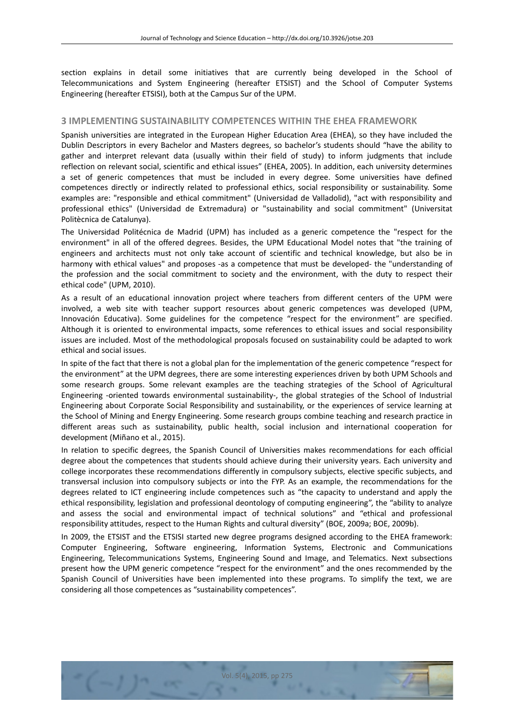section explains in detail some initiatives that are currently being developed in the School of Telecommunications and System Engineering (hereafter ETSIST) and the School of Computer Systems Engineering (hereafter ETSISI), both at the Campus Sur of the UPM.

#### **3 IMPLEMENTING SUSTAINABILITY COMPETENCES WITHIN THE EHEA FRAMEWORK**

Spanish universities are integrated in the European Higher Education Area (EHEA), so they have included the Dublin Descriptors in every Bachelor and Masters degrees, so bachelor's students should "have the ability to gather and interpret relevant data (usually within their field of study) to inform judgments that include reflection on relevant social, scientific and ethical issues" (EHEA, 2005). In addition, each university determines a set of generic competences that must be included in every degree. Some universities have defined competences directly or indirectly related to professional ethics, social responsibility or sustainability. Some examples are: "responsible and ethical commitment" (Universidad de Valladolid), "act with responsibility and professional ethics" (Universidad de Extremadura) or "sustainability and social commitment" (Universitat Politècnica de Catalunya).

The Universidad Politécnica de Madrid (UPM) has included as a generic competence the "respect for the environment" in all of the offered degrees. Besides, the UPM Educational Model notes that "the training of engineers and architects must not only take account of scientific and technical knowledge, but also be in harmony with ethical values" and proposes -as a competence that must be developed- the "understanding of the profession and the social commitment to society and the environment, with the duty to respect their ethical code" (UPM, 2010).

As a result of an educational innovation project where teachers from different centers of the UPM were involved, a web site with teacher support resources about generic competences was developed (UPM, Innovación Educativa). Some guidelines for the competence "respect for the environment" are specified. Although it is oriented to environmental impacts, some references to ethical issues and social responsibility issues are included. Most of the methodological proposals focused on sustainability could be adapted to work ethical and social issues.

In spite of the fact that there is not a global plan for the implementation of the generic competence "respect for the environment" at the UPM degrees, there are some interesting experiences driven by both UPM Schools and some research groups. Some relevant examples are the teaching strategies of the School of Agricultural Engineering -oriented towards environmental sustainability-, the global strategies of the School of Industrial Engineering about Corporate Social Responsibility and sustainability, or the experiences of service learning at the School of Mining and Energy Engineering. Some research groups combine teaching and research practice in different areas such as sustainability, public health, social inclusion and international cooperation for development (Miñano et al., 2015).

In relation to specific degrees, the Spanish Council of Universities makes recommendations for each official degree about the competences that students should achieve during their university years. Each university and college incorporates these recommendations differently in compulsory subjects, elective specific subjects, and transversal inclusion into compulsory subjects or into the FYP. As an example, the recommendations for the degrees related to ICT engineering include competences such as "the capacity to understand and apply the ethical responsibility, legislation and professional deontology of computing engineering", the "ability to analyze and assess the social and environmental impact of technical solutions" and "ethical and professional responsibility attitudes, respect to the Human Rights and cultural diversity" (BOE, 2009a; BOE, 2009b).

In 2009, the ETSIST and the ETSISI started new degree programs designed according to the EHEA framework: Computer Engineering, Software engineering, Information Systems, Electronic and Communications Engineering, Telecommunications Systems, Engineering Sound and Image, and Telematics. Next subsections present how the UPM generic competence "respect for the environment" and the ones recommended by the Spanish Council of Universities have been implemented into these programs. To simplify the text, we are considering all those competences as "sustainability competences".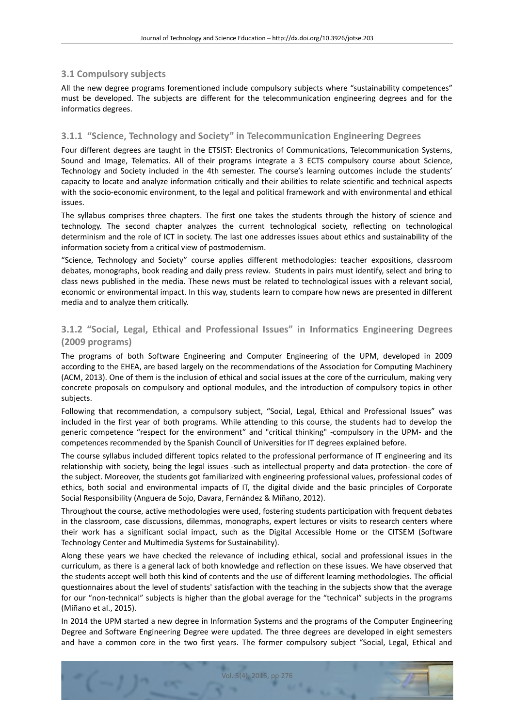## **3.1 Compulsory subjects**

All the new degree programs forementioned include compulsory subjects where "sustainability competences" must be developed. The subjects are different for the telecommunication engineering degrees and for the informatics degrees.

## **3.1.1 "Science, Technology and Society" in Telecommunication Engineering Degrees**

Four different degrees are taught in the ETSIST: Electronics of Communications, Telecommunication Systems, Sound and Image, Telematics. All of their programs integrate a 3 ECTS compulsory course about Science, Technology and Society included in the 4th semester. The course's learning outcomes include the students' capacity to locate and analyze information critically and their abilities to relate scientific and technical aspects with the socio-economic environment, to the legal and political framework and with environmental and ethical issues.

The syllabus comprises three chapters. The first one takes the students through the history of science and technology. The second chapter analyzes the current technological society, reflecting on technological determinism and the role of ICT in society. The last one addresses issues about ethics and sustainability of the information society from a critical view of postmodernism.

"Science, Technology and Society" course applies different methodologies: teacher expositions, classroom debates, monographs, book reading and daily press review. Students in pairs must identify, select and bring to class news published in the media. These news must be related to technological issues with a relevant social, economic or environmental impact. In this way, students learn to compare how news are presented in different media and to analyze them critically.

## **3.1.2 "Social, Legal, Ethical and Professional Issues" in Informatics Engineering Degrees (2009 programs)**

The programs of both Software Engineering and Computer Engineering of the UPM, developed in 2009 according to the EHEA, are based largely on the recommendations of the Association for Computing Machinery (ACM, 2013). One of them is the inclusion of ethical and social issues at the core of the curriculum, making very concrete proposals on compulsory and optional modules, and the introduction of compulsory topics in other subjects.

Following that recommendation, a compulsory subject, "Social, Legal, Ethical and Professional Issues" was included in the first year of both programs. While attending to this course, the students had to develop the generic competence "respect for the environment" and "critical thinking" -compulsory in the UPM- and the competences recommended by the Spanish Council of Universities for IT degrees explained before.

The course syllabus included different topics related to the professional performance of IT engineering and its relationship with society, being the legal issues -such as intellectual property and data protection- the core of the subject. Moreover, the students got familiarized with engineering professional values, professional codes of ethics, both social and environmental impacts of IT, the digital divide and the basic principles of Corporate Social Responsibility (Anguera de Sojo, Davara, Fernández & Miñano, 2012).

Throughout the course, active methodologies were used, fostering students participation with frequent debates in the classroom, case discussions, dilemmas, monographs, expert lectures or visits to research centers where their work has a significant social impact, such as the Digital Accessible Home or the CITSEM (Software Technology Center and Multimedia Systems for Sustainability).

Along these years we have checked the relevance of including ethical, social and professional issues in the curriculum, as there is a general lack of both knowledge and reflection on these issues. We have observed that the students accept well both this kind of contents and the use of different learning methodologies. The official questionnaires about the level of students' satisfaction with the teaching in the subjects show that the average for our "non-technical" subjects is higher than the global average for the "technical" subjects in the programs (Miñano et al., 2015).

In 2014 the UPM started a new degree in Information Systems and the programs of the Computer Engineering Degree and Software Engineering Degree were updated. The three degrees are developed in eight semesters and have a common core in the two first years. The former compulsory subject "Social, Legal, Ethical and

Vol. 5(4), 2015, pp 276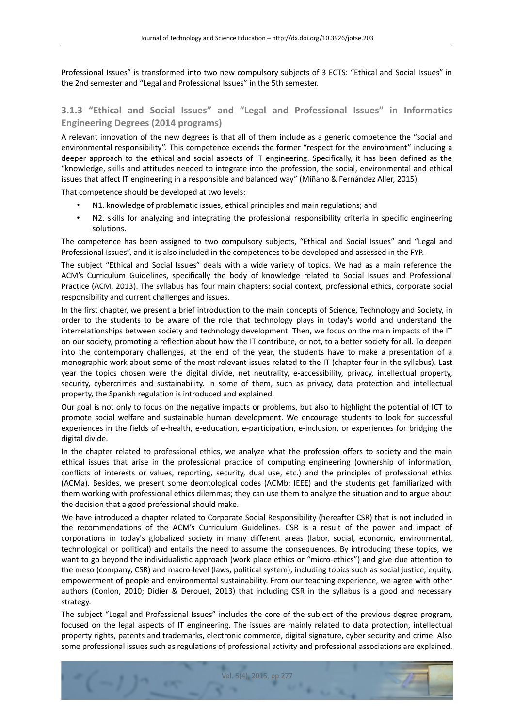Professional Issues" is transformed into two new compulsory subjects of 3 ECTS: "Ethical and Social Issues" in the 2nd semester and "Legal and Professional Issues" in the 5th semester.

## **3.1.3 "Ethical and Social Issues" and "Legal and Professional Issues" in Informatics Engineering Degrees (2014 programs)**

A relevant innovation of the new degrees is that all of them include as a generic competence the "social and environmental responsibility". This competence extends the former "respect for the environment" including a deeper approach to the ethical and social aspects of IT engineering. Specifically, it has been defined as the "knowledge, skills and attitudes needed to integrate into the profession, the social, environmental and ethical issues that affect IT engineering in a responsible and balanced way" (Miñano & Fernández Aller, 2015).

That competence should be developed at two levels:

- N1. knowledge of problematic issues, ethical principles and main regulations; and
- N2. skills for analyzing and integrating the professional responsibility criteria in specific engineering solutions.

The competence has been assigned to two compulsory subjects, "Ethical and Social Issues" and "Legal and Professional Issues", and it is also included in the competences to be developed and assessed in the FYP.

The subject "Ethical and Social Issues" deals with a wide variety of topics. We had as a main reference the ACM's Curriculum Guidelines, specifically the body of knowledge related to Social Issues and Professional Practice (ACM, 2013). The syllabus has four main chapters: social context, professional ethics, corporate social responsibility and current challenges and issues.

In the first chapter, we present a brief introduction to the main concepts of Science, Technology and Society, in order to the students to be aware of the role that technology plays in today's world and understand the interrelationships between society and technology development. Then, we focus on the main impacts of the IT on our society, promoting a reflection about how the IT contribute, or not, to a better society for all. To deepen into the contemporary challenges, at the end of the year, the students have to make a presentation of a monographic work about some of the most relevant issues related to the IT (chapter four in the syllabus). Last year the topics chosen were the digital divide, net neutrality, e-accessibility, privacy, intellectual property, security, cybercrimes and sustainability. In some of them, such as privacy, data protection and intellectual property, the Spanish regulation is introduced and explained.

Our goal is not only to focus on the negative impacts or problems, but also to highlight the potential of ICT to promote social welfare and sustainable human development. We encourage students to look for successful experiences in the fields of e-health, e-education, e-participation, e-inclusion, or experiences for bridging the digital divide.

In the chapter related to professional ethics, we analyze what the profession offers to society and the main ethical issues that arise in the professional practice of computing engineering (ownership of information, conflicts of interests or values, reporting, security, dual use, etc.) and the principles of professional ethics (ACMa). Besides, we present some deontological codes (ACMb; IEEE) and the students get familiarized with them working with professional ethics dilemmas; they can use them to analyze the situation and to argue about the decision that a good professional should make.

We have introduced a chapter related to Corporate Social Responsibility (hereafter CSR) that is not included in the recommendations of the ACM's Curriculum Guidelines. CSR is a result of the power and impact of corporations in today's globalized society in many different areas (labor, social, economic, environmental, technological or political) and entails the need to assume the consequences. By introducing these topics, we want to go beyond the individualistic approach (work place ethics or "micro-ethics") and give due attention to the meso (company, CSR) and macro-level (laws, political system), including topics such as social justice, equity, empowerment of people and environmental sustainability. From our teaching experience, we agree with other authors (Conlon, 2010; Didier & Derouet, 2013) that including CSR in the syllabus is a good and necessary strategy.

The subject "Legal and Professional Issues" includes the core of the subject of the previous degree program, focused on the legal aspects of IT engineering. The issues are mainly related to data protection, intellectual property rights, patents and trademarks, electronic commerce, digital signature, cyber security and crime. Also some professional issues such as regulations of professional activity and professional associations are explained.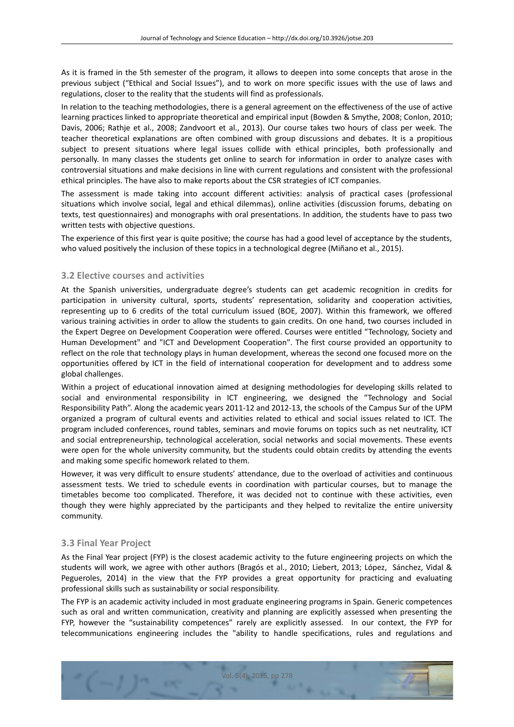As it is framed in the 5th semester of the program, it allows to deepen into some concepts that arose in the previous subject ("Ethical and Social Issues"), and to work on more specific issues with the use of laws and regulations, closer to the reality that the students will find as professionals.

In relation to the teaching methodologies, there is a general agreement on the effectiveness of the use of active learning practices linked to appropriate theoretical and empirical input (Bowden & Smythe, 2008; Conlon, 2010; Davis, 2006; Rathje et al., 2008; Zandvoort et al., 2013). Our course takes two hours of class per week. The teacher theoretical explanations are often combined with group discussions and debates. It is a propitious subject to present situations where legal issues collide with ethical principles, both professionally and personally. In many classes the students get online to search for information in order to analyze cases with controversial situations and make decisions in line with current regulations and consistent with the professional ethical principles. The have also to make reports about the CSR strategies of ICT companies.

The assessment is made taking into account different activities: analysis of practical cases (professional situations which involve social, legal and ethical dilemmas), online activities (discussion forums, debating on texts, test questionnaires) and monographs with oral presentations. In addition, the students have to pass two written tests with objective questions.

The experience of this first year is quite positive; the course has had a good level of acceptance by the students, who valued positively the inclusion of these topics in a technological degree (Miñano et al., 2015).

### **3.2 Elective courses and activities**

At the Spanish universities, undergraduate degree's students can get academic recognition in credits for participation in university cultural, sports, students' representation, solidarity and cooperation activities, representing up to 6 credits of the total curriculum issued (BOE, 2007). Within this framework, we offered various training activities in order to allow the students to gain credits. On one hand, two courses included in the Expert Degree on Development Cooperation were offered. Courses were entitled "Technology, Society and Human Development" and "ICT and Development Cooperation". The first course provided an opportunity to reflect on the role that technology plays in human development, whereas the second one focused more on the opportunities offered by ICT in the field of international cooperation for development and to address some global challenges.

Within a project of educational innovation aimed at designing methodologies for developing skills related to social and environmental responsibility in ICT engineering, we designed the "Technology and Social Responsibility Path". Along the academic years 2011-12 and 2012-13, the schools of the Campus Sur of the UPM organized a program of cultural events and activities related to ethical and social issues related to ICT. The program included conferences, round tables, seminars and movie forums on topics such as net neutrality, ICT and social entrepreneurship, technological acceleration, social networks and social movements. These events were open for the whole university community, but the students could obtain credits by attending the events and making some specific homework related to them.

However, it was very difficult to ensure students' attendance, due to the overload of activities and continuous assessment tests. We tried to schedule events in coordination with particular courses, but to manage the timetables become too complicated. Therefore, it was decided not to continue with these activities, even though they were highly appreciated by the participants and they helped to revitalize the entire university community.

### **3.3 Final Year Project**

As the Final Year project (FYP) is the closest academic activity to the future engineering projects on which the students will work, we agree with other authors (Bragós et al., 2010; Liebert, 2013; López, Sánchez, Vidal & Pegueroles, 2014) in the view that the FYP provides a great opportunity for practicing and evaluating professional skills such as sustainability or social responsibility.

The FYP is an academic activity included in most graduate engineering programs in Spain. Generic competences such as oral and written communication, creativity and planning are explicitly assessed when presenting the FYP, however the "sustainability competences" rarely are explicitly assessed. In our context, the FYP for telecommunications engineering includes the "ability to handle specifications, rules and regulations and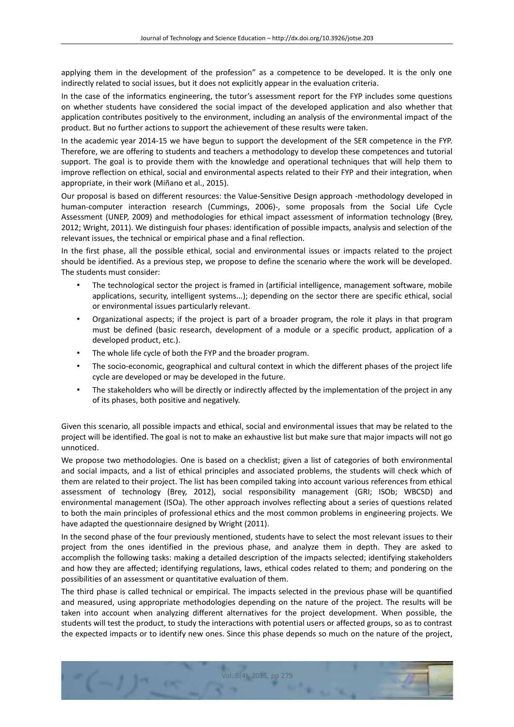applying them in the development of the profession" as a competence to be developed. It is the only one indirectly related to social issues, but it does not explicitly appear in the evaluation criteria.

In the case of the informatics engineering, the tutor's assessment report for the FYP includes some questions on whether students have considered the social impact of the developed application and also whether that application contributes positively to the environment, including an analysis of the environmental impact of the product. But no further actions to support the achievement of these results were taken.

In the academic year 2014-15 we have begun to support the development of the SER competence in the FYP. Therefore, we are offering to students and teachers a methodology to develop these competences and tutorial support. The goal is to provide them with the knowledge and operational techniques that will help them to improve reflection on ethical, social and environmental aspects related to their FYP and their integration, when appropriate, in their work (Miñano et al., 2015).

Our proposal is based on different resources: the Value-Sensitive Design approach -methodology developed in human-computer interaction research (Cummings, 2006)-, some proposals from the Social Life Cycle Assessment (UNEP, 2009) and methodologies for ethical impact assessment of information technology (Brey, 2012; Wright, 2011). We distinguish four phases: identification of possible impacts, analysis and selection of the relevant issues, the technical or empirical phase and a final reflection.

In the first phase, all the possible ethical, social and environmental issues or impacts related to the project should be identified. As a previous step, we propose to define the scenario where the work will be developed. The students must consider:

- The technological sector the project is framed in (artificial intelligence, management software, mobile applications, security, intelligent systems...); depending on the sector there are specific ethical, social or environmental issues particularly relevant.
- Organizational aspects; if the project is part of a broader program, the role it plays in that program must be defined (basic research, development of a module or a specific product, application of a developed product, etc.).
- The whole life cycle of both the FYP and the broader program.
- The socio-economic, geographical and cultural context in which the different phases of the project life cycle are developed or may be developed in the future.
- The stakeholders who will be directly or indirectly affected by the implementation of the project in any of its phases, both positive and negatively.

Given this scenario, all possible impacts and ethical, social and environmental issues that may be related to the project will be identified. The goal is not to make an exhaustive list but make sure that major impacts will not go unnoticed.

We propose two methodologies. One is based on a checklist; given a list of categories of both environmental and social impacts, and a list of ethical principles and associated problems, the students will check which of them are related to their project. The list has been compiled taking into account various references from ethical assessment of technology (Brey, 2012), social responsibility management (GRI; ISOb; WBCSD) and environmental management (ISOa). The other approach involves reflecting about a series of questions related to both the main principles of professional ethics and the most common problems in engineering projects. We have adapted the questionnaire designed by Wright (2011).

In the second phase of the four previously mentioned, students have to select the most relevant issues to their project from the ones identified in the previous phase, and analyze them in depth. They are asked to accomplish the following tasks: making a detailed description of the impacts selected; identifying stakeholders and how they are affected; identifying regulations, laws, ethical codes related to them; and pondering on the possibilities of an assessment or quantitative evaluation of them.

The third phase is called technical or empirical. The impacts selected in the previous phase will be quantified and measured, using appropriate methodologies depending on the nature of the project. The results will be taken into account when analyzing different alternatives for the project development. When possible, the students will test the product, to study the interactions with potential users or affected groups, so as to contrast the expected impacts or to identify new ones. Since this phase depends so much on the nature of the project,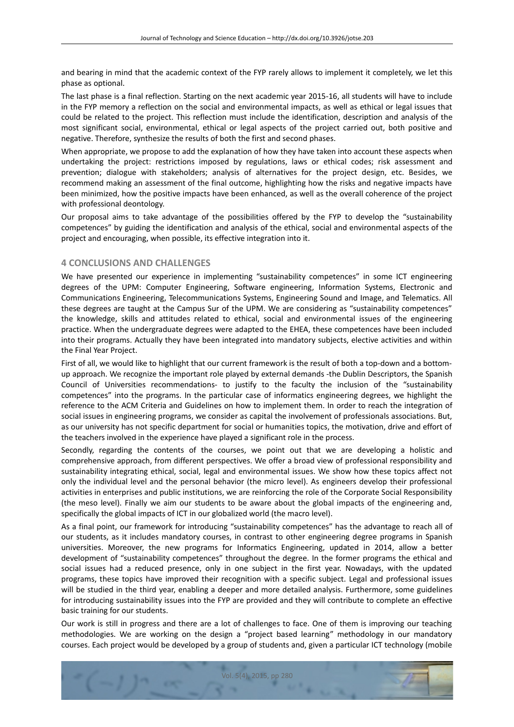and bearing in mind that the academic context of the FYP rarely allows to implement it completely, we let this phase as optional.

The last phase is a final reflection. Starting on the next academic year 2015-16, all students will have to include in the FYP memory a reflection on the social and environmental impacts, as well as ethical or legal issues that could be related to the project. This reflection must include the identification, description and analysis of the most significant social, environmental, ethical or legal aspects of the project carried out, both positive and negative. Therefore, synthesize the results of both the first and second phases.

When appropriate, we propose to add the explanation of how they have taken into account these aspects when undertaking the project: restrictions imposed by regulations, laws or ethical codes; risk assessment and prevention; dialogue with stakeholders; analysis of alternatives for the project design, etc. Besides, we recommend making an assessment of the final outcome, highlighting how the risks and negative impacts have been minimized, how the positive impacts have been enhanced, as well as the overall coherence of the project with professional deontology.

Our proposal aims to take advantage of the possibilities offered by the FYP to develop the "sustainability competences" by guiding the identification and analysis of the ethical, social and environmental aspects of the project and encouraging, when possible, its effective integration into it.

## **4 CONCLUSIONS AND CHALLENGES**

We have presented our experience in implementing "sustainability competences" in some ICT engineering degrees of the UPM: Computer Engineering, Software engineering, Information Systems, Electronic and Communications Engineering, Telecommunications Systems, Engineering Sound and Image, and Telematics. All these degrees are taught at the Campus Sur of the UPM. We are considering as "sustainability competences" the knowledge, skills and attitudes related to ethical, social and environmental issues of the engineering practice. When the undergraduate degrees were adapted to the EHEA, these competences have been included into their programs. Actually they have been integrated into mandatory subjects, elective activities and within the Final Year Project.

First of all, we would like to highlight that our current framework is the result of both a top-down and a bottomup approach. We recognize the important role played by external demands -the Dublin Descriptors, the Spanish Council of Universities recommendations- to justify to the faculty the inclusion of the "sustainability competences" into the programs. In the particular case of informatics engineering degrees, we highlight the reference to the ACM Criteria and Guidelines on how to implement them. In order to reach the integration of social issues in engineering programs, we consider as capital the involvement of professionals associations. But, as our university has not specific department for social or humanities topics, the motivation, drive and effort of the teachers involved in the experience have played a significant role in the process.

Secondly, regarding the contents of the courses, we point out that we are developing a holistic and comprehensive approach, from different perspectives. We offer a broad view of professional responsibility and sustainability integrating ethical, social, legal and environmental issues. We show how these topics affect not only the individual level and the personal behavior (the micro level). As engineers develop their professional activities in enterprises and public institutions, we are reinforcing the role of the Corporate Social Responsibility (the meso level). Finally we aim our students to be aware about the global impacts of the engineering and, specifically the global impacts of ICT in our globalized world (the macro level).

As a final point, our framework for introducing "sustainability competences" has the advantage to reach all of our students, as it includes mandatory courses, in contrast to other engineering degree programs in Spanish universities. Moreover, the new programs for Informatics Engineering, updated in 2014, allow a better development of "sustainability competences" throughout the degree. In the former programs the ethical and social issues had a reduced presence, only in one subject in the first year. Nowadays, with the updated programs, these topics have improved their recognition with a specific subject. Legal and professional issues will be studied in the third year, enabling a deeper and more detailed analysis. Furthermore, some guidelines for introducing sustainability issues into the FYP are provided and they will contribute to complete an effective basic training for our students.

Our work is still in progress and there are a lot of challenges to face. One of them is improving our teaching methodologies. We are working on the design a "project based learning" methodology in our mandatory courses. Each project would be developed by a group of students and, given a particular ICT technology (mobile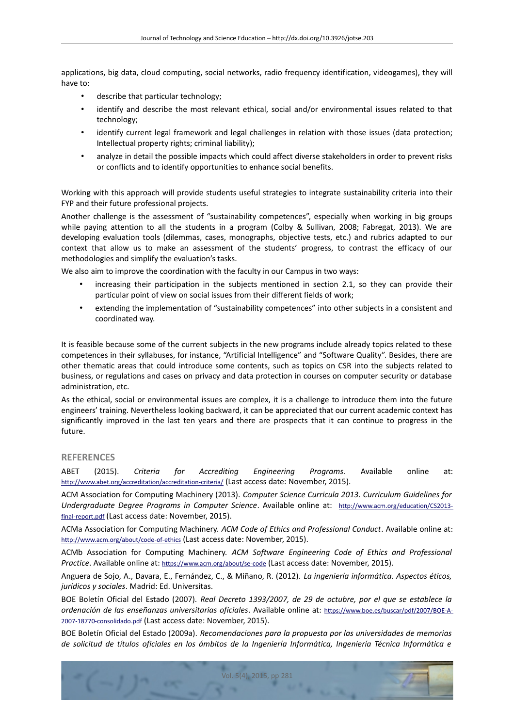applications, big data, cloud computing, social networks, radio frequency identification, videogames), they will have to:

- describe that particular technology;
- identify and describe the most relevant ethical, social and/or environmental issues related to that technology;
- identify current legal framework and legal challenges in relation with those issues (data protection; Intellectual property rights; criminal liability);
- analyze in detail the possible impacts which could affect diverse stakeholders in order to prevent risks or conflicts and to identify opportunities to enhance social benefits.

Working with this approach will provide students useful strategies to integrate sustainability criteria into their FYP and their future professional projects.

Another challenge is the assessment of "sustainability competences", especially when working in big groups while paying attention to all the students in a program (Colby & Sullivan, 2008; Fabregat, 2013). We are developing evaluation tools (dilemmas, cases, monographs, objective tests, etc.) and rubrics adapted to our context that allow us to make an assessment of the students' progress, to contrast the efficacy of our methodologies and simplify the evaluation's tasks.

We also aim to improve the coordination with the faculty in our Campus in two ways:

- increasing their participation in the subjects mentioned in section 2.1, so they can provide their particular point of view on social issues from their different fields of work;
- extending the implementation of "sustainability competences" into other subjects in a consistent and coordinated way.

It is feasible because some of the current subjects in the new programs include already topics related to these competences in their syllabuses, for instance, "Artificial Intelligence" and "Software Quality". Besides, there are other thematic areas that could introduce some contents, such as topics on CSR into the subjects related to business, or regulations and cases on privacy and data protection in courses on computer security or database administration, etc.

As the ethical, social or environmental issues are complex, it is a challenge to introduce them into the future engineers' training. Nevertheless looking backward, it can be appreciated that our current academic context has significantly improved in the last ten years and there are prospects that it can continue to progress in the future.

#### **REFERENCES**

ABET (2015). *Criteria for Accrediting Engineering Programs*. Available online at: <http://www.abet.org/accreditation/accreditation-criteria/> (Last access date: November, 2015).

ACM Association for Computing Machinery (2013). *Computer Science Curricula 2013. Curriculum Guidelines for Undergraduate Degree Programs in Computer Science*. Available online at: [http://www.acm.org/education/CS2013](http://www.acm.org/education/CS2013-final-report.pdf) [final-report.pdf](http://www.acm.org/education/CS2013-final-report.pdf) (Last access date: November, 2015).

ACMa Association for Computing Machinery. *ACM Code of Ethics and Professional Conduct*. Available online at: <http://www.acm.org/about/code-of-ethics> (Last access date: November, 2015).

ACMb Association for Computing Machinery. *ACM Software Engineering Code of Ethics and Professional* Practice. Available online at: <https://www.acm.org/about/se-code> (Last access date: November, 2015).

Anguera de Sojo, A., Davara, E., Fernández, C., & Miñano, R. (2012). *La ingeniería informática. Aspectos éticos, jurídicos y sociales*. Madrid: Ed. Universitas.

BOE Boletín Oficial del Estado (2007). *Real Decreto 1393/2007, de 29 de octubre, por el que se establece la ordenación de las enseñanzas universitarias oficiales*. Available online at: [https://www.boe.es/buscar/pdf/2007/BOE-A-](https://www.boe.es/buscar/pdf/2007/BOE-A-2007-18770-consolidado.pdf)[2007-18770-consolidado.pdf](https://www.boe.es/buscar/pdf/2007/BOE-A-2007-18770-consolidado.pdf) (Last access date: November, 2015).

BOE Boletín Oficial del Estado (2009a). *Recomendaciones para la propuesta por las universidades de memorias de solicitud de títulos oficiales en los ámbitos de la Ingeniería Informática, Ingeniería Técnica Informática e*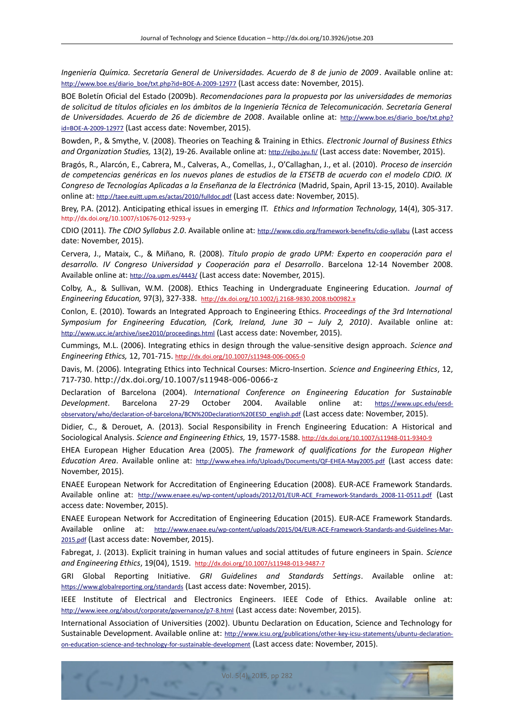*Ingeniería Química. Secretaría General de Universidades. Acuerdo de 8 de junio de 2009*. Available online at: [http://www.boe.es/diario\\_boe/txt.php?id=BOE-A-2009-12977](http://www.boe.es/diario_boe/txt.php?id=BOE-A-2009-12977) (Last access date: November, 2015).

BOE Boletín Oficial del Estado (2009b). *Recomendaciones para la propuesta por las universidades de memorias de solicitud de títulos oficiales en los ámbitos de la Ingeniería Técnica de Telecomunicación. Secretaría General* de Universidades. Acuerdo de 26 de diciembre de 2008. Available online at: [http://www.boe.es/diario\\_boe/txt.php?](http://www.boe.es/diario_boe/txt.php?id=BOE-A-2009-12977) [id=BOE-A-2009-12977](http://www.boe.es/diario_boe/txt.php?id=BOE-A-2009-12977) (Last access date: November, 2015).

Bowden, P., & Smythe, V. (2008). Theories on Teaching & Training in Ethics. *Electronic Journal of Business Ethics and Organization Studies,* 13(2), 19-26. Available online at: <http://ejbo.jyu.fi/> (Last access date: November, 2015).

Bragós, R., Alarcón, E., Cabrera, M., Calveras, A., Comellas, J., O'Callaghan, J., et al. (2010). *Proceso de inserción de competencias genéricas en los nuevos planes de estudios de la ETSETB de acuerdo con el modelo CDIO. IX Congreso de Tecnologías Aplicadas a la Enseñanza de la Electrónica* (Madrid, Spain, April 13-15, 2010). Available online at: <http://taee.euitt.upm.es/actas/2010/fulldoc.pdf> (Last access date: November, 2015).

Brey, P.A. (2012). Anticipating ethical issues in emerging IT. *Ethics and Information Technology*, 14(4), 305-317. <http://dx.doi.org/10.1007/s10676-012-9293-y>

CDIO (2011). *The CDIO Syllabus 2.0*. Available online at: <http://www.cdio.org/framework-benefits/cdio-syllabu> (Last access date: November, 2015).

Cervera, J., Mataix, C., & Miñano, R. (2008). *Título propio de grado UPM: Experto en cooperación para el desarrollo. IV Congreso Universidad y Cooperación para el Desarrollo*. Barcelona 12-14 November 2008. Available online at: <http://oa.upm.es/4443/> (Last access date: November, 2015).

Colby, A., & Sullivan, W.M. (2008). Ethics Teaching in Undergraduate Engineering Education. *Journal of Engineering Education,* 97(3), 327-338. <http://dx.doi.org/10.1002/j.2168-9830.2008.tb00982.x>

Conlon, E. (2010). Towards an Integrated Approach to Engineering Ethics. *Proceedings of the 3rd International Symposium for Engineering Education, (Cork, Ireland, June 30 – July 2, 2010)*. Available online at: <http://www.ucc.ie/archive/isee2010/proceedings.html> (Last access date: November, 2015).

Cummings, M.L. (2006). Integrating ethics in design through the value-sensitive design approach. *Science and Engineering Ethics,* 12, 701-715. <http://dx.doi.org/10.1007/s11948-006-0065-0>

Davis, M. (2006). Integrating Ethics into Technical Courses: Micro-Insertion. *Science and Engineering Ethics*, 12, 717-730. <http://dx.doi.org/10.1007/s11948-006-0066-z>

Declaration of Barcelona (2004). *International Conference on Engineering Education for Sustainable Development*. Barcelona 27-29 October 2004. Available online at: [https://www.upc.edu/eesd](https://www.upc.edu/eesd-observatory/who/declaration-of-barcelona/BCN%20Declaration%20EESD_english.pdf)[observatory/who/declaration-of-barcelona/BCN%20Declaration%20EESD\\_english.pdf](https://www.upc.edu/eesd-observatory/who/declaration-of-barcelona/BCN%20Declaration%20EESD_english.pdf) (Last access date: November, 2015).

Didier, C., & Derouet, A. (2013). Social Responsibility in French Engineering Education: A Historical and Sociological Analysis. *Science and Engineering Ethics,* 19, 1577-1588. <http://dx.doi.org/10.1007/s11948-011-9340-9>

EHEA European Higher Education Area (2005). *The framework of qualifications for the European Higher Education Area*. Available online at: <http://www.ehea.info/Uploads/Documents/QF-EHEA-May2005.pdf> (Last access date: November, 2015).

ENAEE European Network for Accreditation of Engineering Education (2008). EUR-ACE Framework Standards. Available online at: [http://www.enaee.eu/wp-content/uploads/2012/01/EUR-ACE\\_Framework-Standards\\_2008-11-0511.pdf](http://www.enaee.eu/wp-content/uploads/2012/01/EUR-ACE_Framework-Standards_2008-11-0511.pdf) (Last access date: November, 2015).

ENAEE European Network for Accreditation of Engineering Education (2015). EUR-ACE Framework Standards. Available online at: [http://www.enaee.eu/wp-content/uploads/2015/04/EUR-ACE-Framework-Standards-and-Guidelines-Mar-](http://www.enaee.eu/wp-content/uploads/2015/04/EUR-ACE-Framework-Standards-and-Guidelines-Mar-2015.pdf)[2015.pdf](http://www.enaee.eu/wp-content/uploads/2015/04/EUR-ACE-Framework-Standards-and-Guidelines-Mar-2015.pdf) (Last access date: November, 2015).

Fabregat, J. (2013). Explicit training in human values and social attitudes of future engineers in Spain. *Science and Engineering Ethics*, 19(04), 1519. <http://dx.doi.org/10.1007/s11948-013-9487-7>

GRI Global Reporting Initiative. *GRI Guidelines and Standards Settings*. Available online at: <https://www.globalreporting.org/standards> (Last access date: November, 2015).

IEEE Institute of Electrical and Electronics Engineers. IEEE Code of Ethics. Available online at: <http://www.ieee.org/about/corporate/governance/p7-8.html> (Last access date: November, 2015).

International Association of Universities (2002). Ubuntu Declaration on Education, Science and Technology for Sustainable Development. Available online at: [http://www.icsu.org/publications/other-key-icsu-statements/ubuntu-declaration](http://www.icsu.org/publications/other-key-icsu-statements/ubuntu-declaration-on-education-science-and-technology-for-sustainable-development)[on-education-science-and-technology-for-sustainable-development](http://www.icsu.org/publications/other-key-icsu-statements/ubuntu-declaration-on-education-science-and-technology-for-sustainable-development) (Last access date: November, 2015).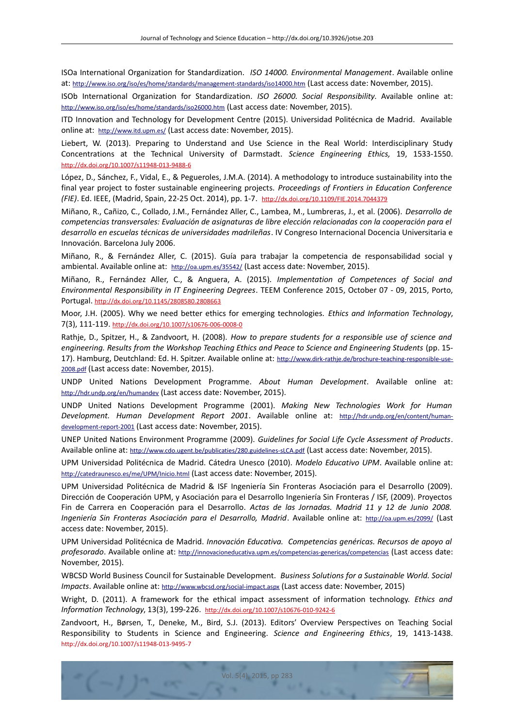ISOa International Organization for Standardization. *ISO 14000. Environmental Management*. Available online at: <http://www.iso.org/iso/es/home/standards/management-standards/iso14000.htm> (Last access date: November, 2015).

ISOb International Organization for Standardization. *ISO 26000. Social Responsibility*. Available online at: <http://www.iso.org/iso/es/home/standards/iso26000.htm> (Last access date: November, 2015).

ITD Innovation and Technology for Development Centre (2015). Universidad Politécnica de Madrid. Available online at: <http://www.itd.upm.es/> (Last access date: November, 2015).

Liebert, W. (2013). Preparing to Understand and Use Science in the Real World: Interdisciplinary Study Concentrations at the Technical University of Darmstadt. *Science Engineering Ethics,* 19, 1533-1550. <http://dx.doi.org/10.1007/s11948-013-9488-6>

López, D., Sánchez, F., Vidal, E., & Pegueroles, J.M.A. (2014). A methodology to introduce sustainability into the final year project to foster sustainable engineering projects. *Proceedings of Frontiers in Education Conference (FIE)*. Ed. IEEE, (Madrid, Spain, 22-25 Oct. 2014), pp. 1-7. <http://dx.doi.org/10.1109/FIE.2014.7044379>

Miñano, R., Cañizo, C., Collado, J.M., Fernández Aller, C., Lambea, M., Lumbreras, J., et al. (2006). *Desarrollo de competencias transversales: Evaluación de asignaturas de libre elección relacionadas con la cooperación para el desarrollo en escuelas técnicas de universidades madrileñas*. IV Congreso Internacional Docencia Universitaria e Innovación. Barcelona July 2006.

Miñano, R., & Fernández Aller, C. (2015). Guía para trabajar la competencia de responsabilidad social y ambiental. Available online at: <http://oa.upm.es/35542/> (Last access date: November, 2015).

Miñano, R., Fernández Aller, C., & Anguera, A. (2015). *Implementation of Competences of Social and Environmental Responsibility in IT Engineering Degrees*. TEEM Conference 2015, October 07 - 09, 2015, Porto, Portugal. <http://dx.doi.org/10.1145/2808580.2808663>

Moor, J.H. (2005). Why we need better ethics for emerging technologies. *Ethics and Information Technology*, 7(3), 111-119. <http://dx.doi.org/10.1007/s10676-006-0008-0>

Rathje, D., Spitzer, H., & Zandvoort, H. (2008). *How to prepare students for a responsible use of science and engineering. Results from the Workshop Teaching Ethics and Peace to Science and Engineering Students* (pp. 15- 17). Hamburg, Deutchland: Ed. H. Spitzer. Available online at: [http://www.dirk-rathje.de/brochure-teaching-responsible-use-](http://www.dirk-rathje.de/brochure-teaching-responsible-use-2008.pdf)[2008.pdf](http://www.dirk-rathje.de/brochure-teaching-responsible-use-2008.pdf) (Last access date: November, 2015).

UNDP United Nations Development Programme. *About Human Development*. Available online at: <http://hdr.undp.org/en/humandev> (Last access date: November, 2015).

UNDP United Nations Development Programme (2001). *Making New Technologies Work for Human Development. Human Development Report 2001*. Available online at: [http://hdr.undp.org/en/content/human](http://hdr.undp.org/en/content/human-development-report-2001)[development-report-2001](http://hdr.undp.org/en/content/human-development-report-2001) (Last access date: November, 2015).

UNEP United Nations Environment Programme (2009). *Guidelines for Social Life Cycle Assessment of Products*. Available online at: <http://www.cdo.ugent.be/publicaties/280.guidelines-sLCA.pdf> (Last access date: November, 2015).

UPM Universidad Politécnica de Madrid. Cátedra Unesco (2010). *Modelo Educativo UPM*. Available online at: <http://catedraunesco.es/me/UPM/Inicio.html> (Last access date: November, 2015).

UPM Universidad Politécnica de Madrid & ISF Ingeniería Sin Fronteras Asociación para el Desarrollo (2009). Dirección de Cooperación UPM, y Asociación para el Desarrollo Ingeniería Sin Fronteras / ISF, (2009). Proyectos Fin de Carrera en Cooperación para el Desarrollo. *Actas de las Jornadas. Madrid 11 y 12 de Junio 2008. Ingeniería Sin Fronteras Asociación para el Desarrollo, Madrid*. Available online at: <http://oa.upm.es/2099/> (Last access date: November, 2015).

UPM Universidad Politécnica de Madrid. *Innovación Educativa. Competencias genéricas. Recursos de apoyo al profesorado*. Available online at: <http://innovacioneducativa.upm.es/competencias-genericas/competencias> (Last access date: November, 2015).

WBCSD World Business Council for Sustainable Development. *Business Solutions for a Sustainable World. Social Impacts*. Available online at: <http://www.wbcsd.org/social-impact.aspx> (Last access date: November, 2015)

Wright, D. (2011). A framework for the ethical impact assessment of information technology. *Ethics and Information Technology*, 13(3), 199-226. <http://dx.doi.org/10.1007/s10676-010-9242-6>

Zandvoort, H., Børsen, T., Deneke, M., Bird, S.J. (2013). Editors' Overview Perspectives on Teaching Social Responsibility to Students in Science and Engineering. *Science and Engineering Ethics*, 19, 1413-1438. <http://dx.doi.org/10.1007/s11948-013-9495-7>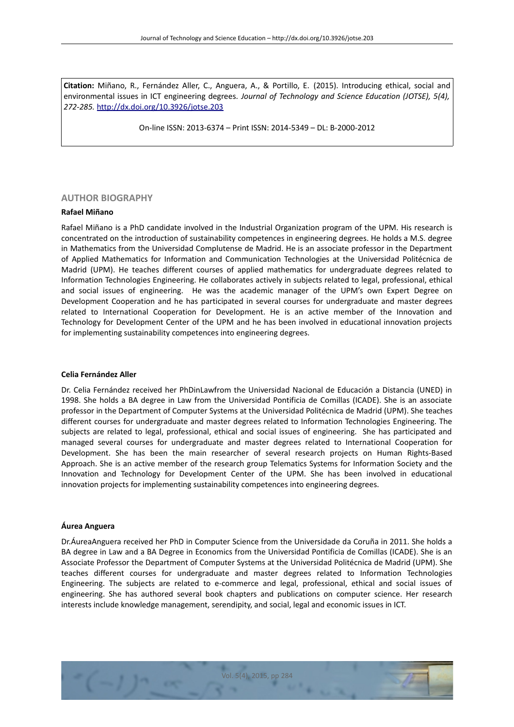**Citation:** Miñano, R., Fernández Aller, C., Anguera, A., & Portillo, E. (2015). Introducing ethical, social and environmental issues in ICT engineering degrees. *Journal of Technology and Science Education (JOTSE), 5(4), 272-285.* <http://dx.doi.org/10.3926/jotse.203>

On-line ISSN: 2013-6374 – Print ISSN: 2014-5349 – DL: B-2000-2012

#### **AUTHOR BIOGRAPHY**

#### **Rafael Miñano**

Rafael Miñano is a PhD candidate involved in the Industrial Organization program of the UPM. His research is concentrated on the introduction of sustainability competences in engineering degrees. He holds a M.S. degree in Mathematics from the Universidad Complutense de Madrid. He is an associate professor in the Department of Applied Mathematics for Information and Communication Technologies at the Universidad Politécnica de Madrid (UPM). He teaches different courses of applied mathematics for undergraduate degrees related to Information Technologies Engineering. He collaborates actively in subjects related to legal, professional, ethical and social issues of engineering. He was the academic manager of the UPM's own Expert Degree on Development Cooperation and he has participated in several courses for undergraduate and master degrees related to International Cooperation for Development. He is an active member of the Innovation and Technology for Development Center of the UPM and he has been involved in educational innovation projects for implementing sustainability competences into engineering degrees.

#### **Celia Fernández Aller**

Dr. Celia Fernández received her PhDinLawfrom the Universidad Nacional de Educación a Distancia (UNED) in 1998. She holds a BA degree in Law from the Universidad Pontificia de Comillas (ICADE). She is an associate professor in the Department of Computer Systems at the Universidad Politécnica de Madrid (UPM). She teaches different courses for undergraduate and master degrees related to Information Technologies Engineering. The subjects are related to legal, professional, ethical and social issues of engineering. She has participated and managed several courses for undergraduate and master degrees related to International Cooperation for Development. She has been the main researcher of several research projects on Human Rights-Based Approach. She is an active member of the research group Telematics Systems for Information Society and the Innovation and Technology for Development Center of the UPM. She has been involved in educational innovation projects for implementing sustainability competences into engineering degrees.

### **Áurea Anguera**

Dr.ÁureaAnguera received her PhD in Computer Science from the Universidade da Coruña in 2011. She holds a BA degree in Law and a BA Degree in Economics from the Universidad Pontificia de Comillas (ICADE). She is an Associate Professor the Department of Computer Systems at the Universidad Politécnica de Madrid (UPM). She teaches different courses for undergraduate and master degrees related to Information Technologies Engineering. The subjects are related to e-commerce and legal, professional, ethical and social issues of engineering. She has authored several book chapters and publications on computer science. Her research interests include knowledge management, serendipity, and social, legal and economic issues in ICT.